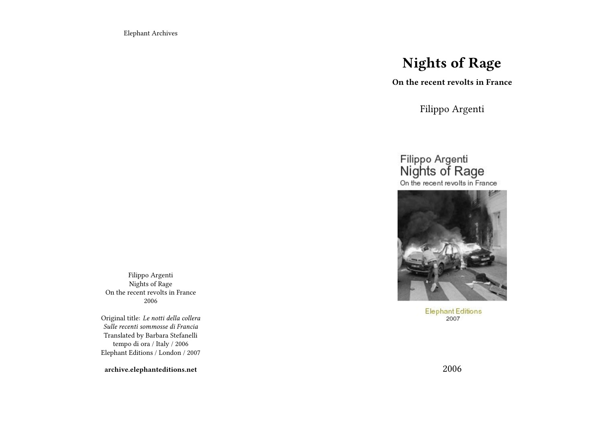Elephant Archives

# **Nights of Rage**

**On the recent revolts in France**

Filippo Argenti

# Filippo Argenti<br>Nights of Rage On the recent revolts in France



**Elephant Editions** 2007

Filippo Argenti Nights of Rage On the recent revolts in France 2006

Original title: *Le notti della collera Sulle recenti sommosse di Francia* Translated by Barbara Stefanelli tempo di ora / Italy / 2006 Elephant Editions / London / 2007

**archive.elephanteditions.net**

2006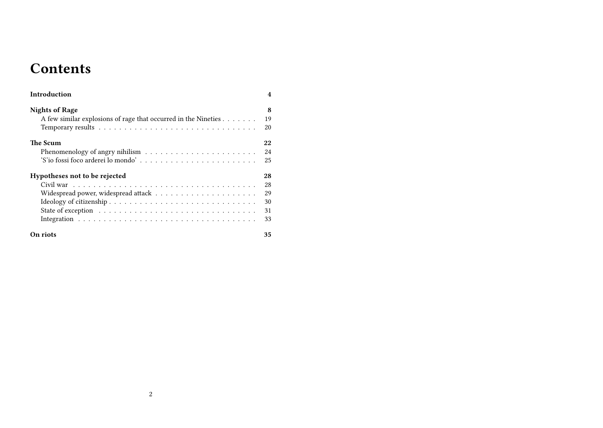# **Contents**

| Introduction                                                   | $\overline{4}$ |
|----------------------------------------------------------------|----------------|
| <b>Nights of Rage</b>                                          | 8              |
| A few similar explosions of rage that occurred in the Nineties | 19             |
|                                                                | 20             |
| The Scum                                                       | 22             |
|                                                                | 24             |
| 'S'io fossi foco arderei lo mondo'                             | 25             |
| Hypotheses not to be rejected                                  | 28             |
|                                                                | 28             |
|                                                                | 29             |
|                                                                | 30             |
|                                                                | 31             |
|                                                                | 33             |
| On riots                                                       | 35             |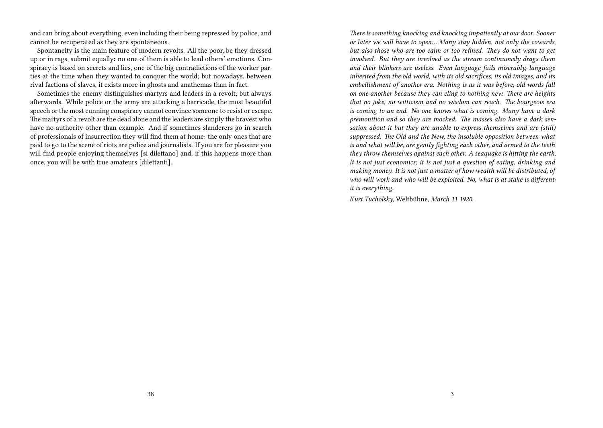and can bring about everything, even including their being repressed by police, and cannot be recuperated as they are spontaneous.

Spontaneity is the main feature of modern revolts. All the poor, be they dressed up or in rags, submit equally: no one of them is able to lead others' emotions. Conspiracy is based on secrets and lies, one of the big contradictions of the worker parties at the time when they wanted to conquer the world; but nowadays, between rival factions of slaves, it exists more in ghosts and anathemas than in fact.

Sometimes the enemy distinguishes martyrs and leaders in a revolt; but always afterwards. While police or the army are attacking a barricade, the most beautiful speech or the most cunning conspiracy cannot convince someone to resist or escape. The martyrs of a revolt are the dead alone and the leaders are simply the bravest who have no authority other than example. And if sometimes slanderers go in search of professionals of insurrection they will find them at home: the only ones that are paid to go to the scene of riots are police and journalists. If you are for pleasure you will find people enjoying themselves [si dilettano] and, if this happens more than once, you will be with true amateurs [dilettanti]..

*There is something knocking and knocking impatiently at our door. Sooner or later we will have to open… Many stay hidden, not only the cowards, but also those who are too calm or too refined. They do not want to get involved. But they are involved as the stream continuously drags them and their blinkers are useless. Even language fails miserably, language inherited from the old world, with its old sacrifices, its old images, and its embellishment of another era. Nothing is as it was before; old words fall on one another because they can cling to nothing new. There are heights that no joke, no witticism and no wisdom can reach. The bourgeois era is coming to an end. No one knows what is coming. Many have a dark premonition and so they are mocked. The masses also have a dark sensation about it but they are unable to express themselves and are (still) suppressed. The Old and the New, the insoluble opposition between what is and what will be, are gently fighting each other, and armed to the teeth they throw themselves against each other. A seaquake is hitting the earth. It is not just economics; it is not just a question of eating, drinking and making money. It is not just a matter of how wealth will be distributed, of who will work and who will be exploited. No, what is at stake is different: it is everything.*

*Kurt Tucholsky,* Weltbühne, *March 11 1920.*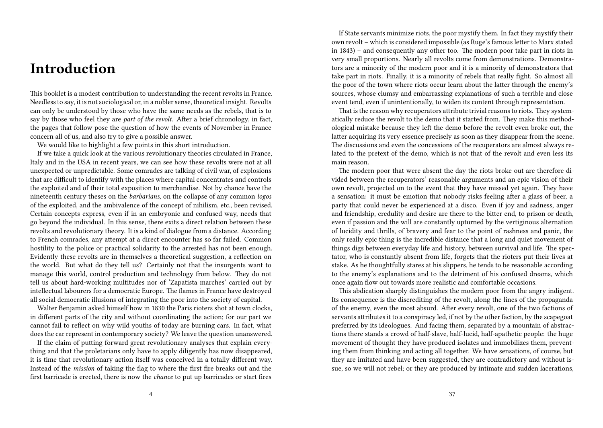# **Introduction**

This booklet is a modest contribution to understanding the recent revolts in France. Needless to say, it is not sociological or, in a nobler sense, theoretical insight. Revolts can only be understood by those who have the same needs as the rebels, that is to say by those who feel they are *part of the revolt*. After a brief chronology, in fact, the pages that follow pose the question of how the events of November in France concern all of us, and also try to give a possible answer.

We would like to highlight a few points in this short introduction.

If we take a quick look at the various revolutionary theories circulated in France, Italy and in the USA in recent years, we can see how these revolts were not at all unexpected or unpredictable. Some comrades are talking of civil war, of explosions that are difficult to identify with the places where capital concentrates and controls the exploited and of their total exposition to merchandise. Not by chance have the nineteenth century theses on the *barbarians*, on the collapse of any common *logos* of the exploited, and the ambivalence of the concept of nihilism, etc., been revised. Certain concepts express, even if in an embryonic and confused way, needs that go beyond the individual. In this sense, there exits a direct relation between these revolts and revolutionary theory. It is a kind of dialogue from a distance. According to French comrades, any attempt at a direct encounter has so far failed. Common hostility to the police or practical solidarity to the arrested has not been enough. Evidently these revolts are in themselves a theoretical suggestion, a reflection on the world. But what do they tell us? Certainly not that the insurgents want to manage this world, control production and technology from below. They do not tell us about hard-working multitudes nor of 'Zapatista marches' carried out by intellectual labourers for a democratic Europe. The flames in France have destroyed all social democratic illusions of integrating the poor into the society of capital.

Walter Benjamin asked himself how in 1830 the Paris rioters shot at town clocks, in different parts of the city and without coordinating the action; for our part we cannot fail to reflect on why wild youths of today are burning cars. In fact, what does the car represent in contemporary society? We leave the question unanswered.

If the claim of putting forward great revolutionary analyses that explain everything and that the proletarians only have to apply diligently has now disappeared, it is time that revolutionary action itself was conceived in a totally different way. Instead of the *mission* of taking the flag to where the first fire breaks out and the first barricade is erected, there is now the *chance* to put up barricades or start fires

If State servants minimize riots, the poor mystify them. In fact they mystify their own revolt – which is considered impossible (as Ruge's famous letter to Marx stated in 1843) – and consequently any other too. The modern poor take part in riots in very small proportions. Nearly all revolts come from demonstrations. Demonstrators are a minority of the modern poor and it is a minority of demonstrators that take part in riots. Finally, it is a minority of rebels that really fight. So almost all the poor of the town where riots occur learn about the latter through the enemy's sources, whose clumsy and embarrassing explanations of such a terrible and close event tend, even if unintentionally, to widen its content through representation.

That is the reason why recuperators attribute trivial reasons to riots. They systematically reduce the revolt to the demo that it started from. They make this methodological mistake because they left the demo before the revolt even broke out, the latter acquiring its very essence precisely as soon as they disappear from the scene. The discussions and even the concessions of the recuperators are almost always related to the pretext of the demo, which is not that of the revolt and even less its main reason.

The modern poor that were absent the day the riots broke out are therefore divided between the recuperators' reasonable arguments and an epic vision of their own revolt, projected on to the event that they have missed yet again. They have a sensation: it must be emotion that nobody risks feeling after a glass of beer, a party that could never be experienced at a disco. Even if joy and sadness, anger and friendship, credulity and desire are there to the bitter end, to prison or death, even if passion and the will are constantly upturned by the vertiginous alternation of lucidity and thrills, of bravery and fear to the point of rashness and panic, the only really epic thing is the incredible distance that a long and quiet movement of things digs between everyday life and history, between survival and life. The spectator, who is constantly absent from life, forgets that the rioters put their lives at stake. As he thoughtfully stares at his slippers, he tends to be reasonable according to the enemy's explanations and to the detriment of his confused dreams, which once again flow out towards more realistic and comfortable occasions.

This abdication sharply distinguishes the modern poor from the angry indigent. Its consequence is the discrediting of the revolt, along the lines of the propaganda of the enemy, even the most absurd. After every revolt, one of the two factions of servants attributes it to a conspiracy led, if not by the other faction, by the scapegoat preferred by its ideologues. And facing them, separated by a mountain of abstractions there stands a crowd of half-slave, half-lucid, half-apathetic people: the huge movement of thought they have produced isolates and immobilizes them, preventing them from thinking and acting all together. We have sensations, of course, but they are imitated and have been suggested, they are contradictory and without issue, so we will not rebel; or they are produced by intimate and sudden lacerations,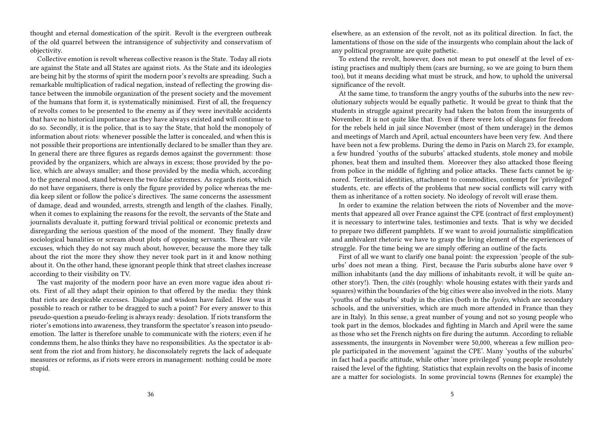thought and eternal domestication of the spirit. Revolt is the evergreen outbreak of the old quarrel between the intransigence of subjectivity and conservatism of objectivity.

Collective emotion is revolt whereas collective reason is the State. Today all riots are against the State and all States are against riots. As the State and its ideologies are being hit by the storms of spirit the modern poor's revolts are spreading. Such a remarkable multiplication of radical negation, instead of reflecting the growing distance between the immobile organization of the present society and the movement of the humans that form it, is systematically minimised. First of all, the frequency of revolts comes to be presented to the enemy as if they were inevitable accidents that have no historical importance as they have always existed and will continue to do so. Secondly, it is the police, that is to say the State, that hold the monopoly of information about riots: whenever possible the latter is concealed, and when this is not possible their proportions are intentionally declared to be smaller than they are. In general there are three figures as regards demos against the government: those provided by the organizers, which are always in excess; those provided by the police, which are always smaller; and those provided by the media which, according to the general mood, stand between the two false extremes. As regards riots, which do not have organisers, there is only the figure provided by police whereas the media keep silent or follow the police's directives. The same concerns the assessment of damage, dead and wounded, arrests, strength and length of the clashes. Finally, when it comes to explaining the reasons for the revolt, the servants of the State and journalists devaluate it, putting forward trivial political or economic pretexts and disregarding the serious question of the mood of the moment. They finally draw sociological banalities or scream about plots of opposing servants. These are vile excuses, which they do not say much about, however, because the more they talk about the riot the more they show they never took part in it and know nothing about it. On the other hand, these ignorant people think that street clashes increase according to their visibility on TV.

The vast majority of the modern poor have an even more vague idea about riots. First of all they adapt their opinion to that offered by the media: they think that riots are despicable excesses. Dialogue and wisdom have failed. How was it possible to reach or rather to be dragged to such a point? For every answer to this pseudo-question a pseudo-feeling is always ready: desolation. If riots transform the rioter's emotions into awareness, they transform the spectator's reason into pseudoemotion. The latter is therefore unable to communicate with the rioters; even if he condemns them, he also thinks they have no responsibilities. As the spectator is absent from the riot and from history, he disconsolately regrets the lack of adequate measures or reforms, as if riots were errors in management: nothing could be more stupid.

elsewhere, as an extension of the revolt, not as its political direction. In fact, the lamentations of those on the side of the insurgents who complain about the lack of any political programme are quite pathetic.

To extend the revolt, however, does not mean to put oneself at the level of existing practises and multiply them (cars are burning, so we are going to burn them too), but it means deciding what must be struck, and how, to uphold the universal significance of the revolt.

At the same time, to transform the angry youths of the suburbs into the new revolutionary subjects would be equally pathetic. It would be great to think that the students in struggle against precarity had taken the baton from the insurgents of November. It is not quite like that. Even if there were lots of slogans for freedom for the rebels held in jail since November (most of them underage) in the demos and meetings of March and April, actual encounters have been very few. And there have been not a few problems. During the demo in Paris on March 23, for example, a few hundred 'youths of the suburbs' attacked students, stole money and mobile phones, beat them and insulted them. Moreover they also attacked those fleeing from police in the middle of fighting and police attacks. These facts cannot be ignored. Territorial identities, attachment to commodities, contempt for 'privileged' students, etc. are effects of the problems that new social conflicts will carry with them as inheritance of a rotten society. No ideology of revolt will erase them.

In order to examine the relation between the riots of November and the movements that appeared all over France against the CPE (contract of first employment) it is necessary to intertwine tales, testimonies and texts. That is why we decided to prepare two different pamphlets. If we want to avoid journalistic simplification and ambivalent rhetoric we have to grasp the living element of the experiences of struggle. For the time being we are simply offering an outline of the facts.

First of all we want to clarify one banal point: the expression 'people of the suburbs' does not mean a thing. First, because the Paris suburbs alone have over 9 million inhabitants (and the day millions of inhabitants revolt, it will be quite another story!). Then, the *cités* (roughly: whole housing estates with their yards and squares) within the boundaries of the big cities were also involved in the riots. Many 'youths of the suburbs' study in the cities (both in the *lycées*, which are secondary schools, and the universities, which are much more attended in France than they are in Italy). In this sense, a great number of young and not so young people who took part in the demos, blockades and fighting in March and April were the same as those who set the French nights on fire during the autumn. According to reliable assessments, the insurgents in November were 50,000, whereas a few million people participated in the movement 'against the CPE'. Many 'youths of the suburbs' in fact had a pacific attitude, while other 'more privileged' young people resolutely raised the level of the fighting. Statistics that explain revolts on the basis of income are a matter for sociologists. In some provincial towns (Rennes for example) the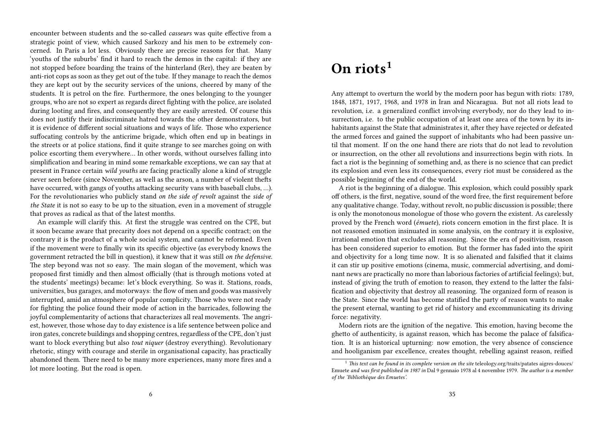encounter between students and the so-called *casseurs* was quite effective from a strategic point of view, which caused Sarkozy and his men to be extremely concerned. In Paris a lot less. Obviously there are precise reasons for that. Many 'youths of the suburbs' find it hard to reach the demos in the capital: if they are not stopped before boarding the trains of the hinterland (Rer), they are beaten by anti-riot cops as soon as they get out of the tube. If they manage to reach the demos they are kept out by the security services of the unions, cheered by many of the students. It is petrol on the fire. Furthermore, the ones belonging to the younger groups, who are not so expert as regards direct fighting with the police, are isolated during looting and fires, and consequently they are easily arrested. Of course this does not justify their indiscriminate hatred towards the other demonstrators, but it is evidence of different social situations and ways of life. Those who experience suffocating controls by the anticrime brigade, which often end up in beatings in the streets or at police stations, find it quite strange to see marches going on with police escorting them everywhere… In other words, without ourselves falling into simplification and bearing in mind some remarkable exceptions, we can say that at present in France certain *wild youths* are facing practically alone a kind of struggle never seen before (since November, as well as the arson, a number of violent thefts have occurred, with gangs of youths attacking security vans with baseball clubs, …). For the revolutionaries who publicly stand *on the side of revolt* against the *side of the State* it is not so easy to be up to the situation, even in a movement of struggle that proves as radical as that of the latest months.

An example will clarify this. At first the struggle was centred on the CPE, but it soon became aware that precarity does not depend on a specific contract; on the contrary it is the product of a whole social system, and cannot be reformed. Even if the movement were to finally win its specific objective (as everybody knows the government retracted the bill in question), it knew that it was still *on the defensive*. The step beyond was not so easy. The main slogan of the movement, which was proposed first timidly and then almost officially (that is through motions voted at the students' meetings) became: let's block everything. So was it. Stations, roads, universities, bus garages, and motorways: the flow of men and goods was massively interrupted, amid an atmosphere of popular complicity. Those who were not ready for fighting the police found their mode of action in the barricades, following the joyful complementarity of actions that characterizes all real movements. The angriest, however, those whose day to day existence is a life sentence between police and iron gates, concrete buildings and shopping centres, regardless of the CPE, don't just want to block everything but also *tout niquer* (destroy everything). Revolutionary rhetoric, stingy with courage and sterile in organisational capacity, has practically abandoned them. There need to be many more experiences, many more fires and a lot more looting. But the road is open.

# **On riots<sup>1</sup>**

Any attempt to overturn the world by the modern poor has begun with riots: 1789, 1848, 1871, 1917, 1968, and 1978 in Iran and Nicaragua. But not all riots lead to revolution, i.e. a generalized conflict involving everybody, nor do they lead to insurrection, i.e. to the public occupation of at least one area of the town by its inhabitants against the State that administrates it, after they have rejected or defeated the armed forces and gained the support of inhabitants who had been passive until that moment. If on the one hand there are riots that do not lead to revolution or insurrection, on the other all revolutions and insurrections begin with riots. In fact a riot is the beginning of something and, as there is no science that can predict its explosion and even less its consequences, every riot must be considered as the possible beginning of the end of the world.

A riot is the beginning of a dialogue. This explosion, which could possibly spark off others, is the first, negative, sound of the word free, the first requirement before any qualitative change. Today, without revolt, no public discussion is possible; there is only the monotonous monologue of those who govern the existent. As carelessly proved by the French word (*émuete*), riots concern emotion in the first place. It is not reasoned emotion insinuated in some analysis, on the contrary it is explosive, irrational emotion that excludes all reasoning. Since the era of positivism, reason has been considered superior to emotion. But the former has faded into the spirit and objectivity for a long time now. It is so alienated and falsified that it claims it can stir up positive emotions (cinema, music, commercial advertising, and dominant news are practically no more than laborious factories of artificial feelings); but, instead of giving the truth of emotion to reason, they extend to the latter the falsification and objectivity that destroy all reasoning. The organized form of reason is the State. Since the world has become statified the party of reason wants to make the present eternal, wanting to get rid of history and excommunicating its driving force: negativity.

Modern riots are the ignition of the negative. This emotion, having become the ghetto of authenticity, is against reason, which has become the palace of falsification. It is an historical upturning: now emotion, the very absence of conscience and hooliganism par excellence, creates thought, rebelling against reason, reified

<sup>&</sup>lt;sup>1</sup> This text can be found in its complete version on the site teleology.org/traits/patates aigres-douces/ Emuete *and was first published in 1987 in* Dal 9 gennaio 1978 al 4 novembre 1979. *The author is a member of the 'Bibliothèque des Emuetes'.*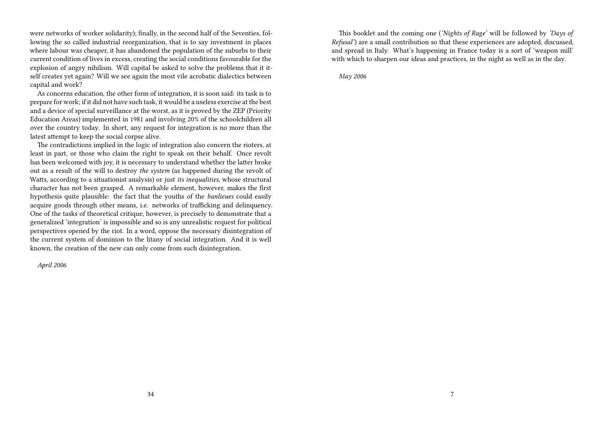were networks of worker solidarity); finally, in the second half of the Seventies, following the so called industrial reorganization, that is to say investment in places where labour was cheaper, it has abandoned the population of the suburbs to their current condition of lives in excess, creating the social conditions favourable for the explosion of angry nihilism. Will capital be asked to solve the problems that it itself creates yet again? Will we see again the most vile acrobatic dialectics between capital and work?

As concerns education, the other form of integration, it is soon said: its task is to prepare for work; if it did not have such task, it would be a useless exercise at the best and a device of special surveillance at the worst, as it is proved by the ZEP (Priority Education Areas) implemented in 1981 and involving 20% of the schoolchildren all over the country today. In short, any request for integration is no more than the latest attempt to keep the social corpse alive.

The contradictions implied in the logic of integration also concern the rioters, at least in part, or those who claim the right to speak on their behalf. Once revolt has been welcomed with joy, it is necessary to understand whether the latter broke out as a result of the will to destroy *the system* (as happened during the revolt of Watts, according to a situationist analysis) or just *its inequalities,* whose structural character has not been grasped. A remarkable element, however, makes the first hypothesis quite plausible: the fact that the youths of the *banlieues* could easily acquire goods through other means, i.e. networks of trafficking and delinquency. One of the tasks of theoretical critique, however, is precisely to demonstrate that a generalized 'integration' is impossible and so is any unrealistic request for political perspectives opened by the riot. In a word, oppose the necessary disintegration of the current system of dominion to the litany of social integration. And it is well known, the creation of the new can only come from such disintegration.

*April 2006*

This booklet and the coming one (*'Nights of Rage'* will be followed by *'Days of Refusal'*) are a small contribution so that these experiences are adopted, discussed, and spread in Italy. What's happening in France today is a sort of 'weapon mill' with which to sharpen our ideas and practices, in the night as well as in the day.

*May 2006*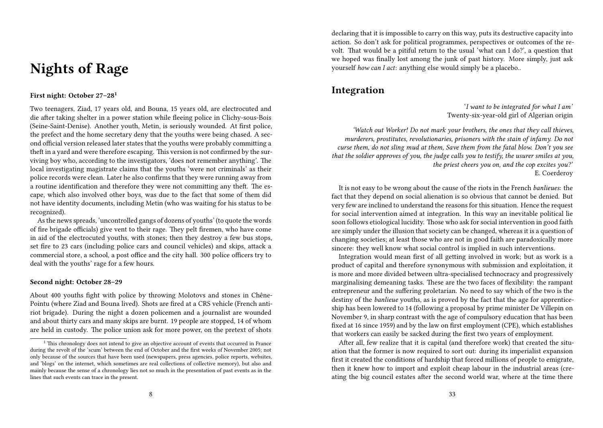# **Nights of Rage**

### **First night: October 27–28<sup>1</sup>**

Two teenagers, Ziad, 17 years old, and Bouna, 15 years old, are electrocuted and die after taking shelter in a power station while fleeing police in Clichy-sous-Bois (Seine-Saint-Denise). Another youth, Metin, is seriously wounded. At first police, the prefect and the home secretary deny that the youths were being chased. A second official version released later states that the youths were probably committing a theft in a yard and were therefore escaping. This version is not confirmed by the surviving boy who, according to the investigators, 'does not remember anything'. The local investigating magistrate claims that the youths 'were not criminals' as their police records were clean. Later he also confirms that they were running away from a routine identification and therefore they were not committing any theft. The escape, which also involved other boys, was due to the fact that some of them did not have identity documents, including Metin (who was waiting for his status to be recognized).

As the news spreads, 'uncontrolled gangs of dozens of youths' (to quote the words of fire brigade officials) give vent to their rage. They pelt firemen, who have come in aid of the electrocuted youths, with stones; then they destroy a few bus stops, set fire to 23 cars (including police cars and council vehicles) and skips, attack a commercial store, a school, a post office and the city hall. 300 police officers try to deal with the youths' rage for a few hours.

### **Second night: October 28–29**

About 400 youths fight with police by throwing Molotovs and stones in Chêne-Pointu (where Ziad and Bouna lived). Shots are fired at a CRS vehicle (French antiriot brigade). During the night a dozen policemen and a journalist are wounded and about thirty cars and many skips are burnt. 19 people are stopped, 14 of whom are held in custody. The police union ask for more power, on the pretext of shots

declaring that it is impossible to carry on this way, puts its destructive capacity into action. So don't ask for political programmes, perspectives or outcomes of the revolt. That would be a pitiful return to the usual 'what can I do?', a question that we hoped was finally lost among the junk of past history. More simply, just ask yourself *how can I act*: anything else would simply be a placebo..

## **Integration**

'*I want to be integrated for what I am'* Twenty-six-year-old girl of Algerian origin

*'Watch out Worker! Do not mark your brothers, the ones that they call thieves, murderers, prostitutes, revolutionaries, prisoners with the stain of infamy. Do not curse them, do not sling mud at them, Save them from the fatal blow. Don't you see that the soldier approves of you, the judge calls you to testify, the usurer smiles at you, the priest cheers you on, and the cop excites you?'* E. Coerderoy

It is not easy to be wrong about the cause of the riots in the French *banlieues*: the fact that they depend on social alienation is so obvious that cannot be denied. But very few are inclined to understand the reasons for this situation. Hence the request for social intervention aimed at integration. In this way an inevitable political lie soon follows etiological lucidity. Those who ask for social intervention in good faith are simply under the illusion that society can be changed, whereas it is a question of changing societies; at least those who are not in good faith are paradoxically more sincere: they well know what social control is implied in such interventions.

Integration would mean first of all getting involved in work; but as work is a product of capital and therefore synonymous with submission and exploitation, it is more and more divided between ultra-specialised technocracy and progressively marginalising demeaning tasks. These are the two faces of flexibility: the rampant entrepreneur and the suffering proletarian. No need to say which of the two is the destiny of the *banlieue* youths, as is proved by the fact that the age for apprenticeship has been lowered to 14 (following a proposal by prime minister De Villepin on November 9, in sharp contrast with the age of compulsory education that has been fixed at 16 since 1959) and by the law on first employment (CPE), which establishes that workers can easily be sacked during the first two years of employment.

After all, few realize that it is capital (and therefore work) that created the situation that the former is now required to sort out: during its imperialist expansion first it created the conditions of hardship that forced millions of people to emigrate, then it knew how to import and exploit cheap labour in the industrial areas (creating the big council estates after the second world war, where at the time there

 $<sup>1</sup>$  This chronology does not intend to give an objective account of events that occurred in France</sup> during the revolt of the 'scum' between the end of October and the first weeks of November 2005; not only because of the sources that have been used (newspapers, press agencies, police reports, websites, and 'blogs' on the internet, which sometimes are real collections of collective memory), but also and mainly because the sense of a chronology lies not so much in the presentation of past events as in the lines that such events can trace in the present.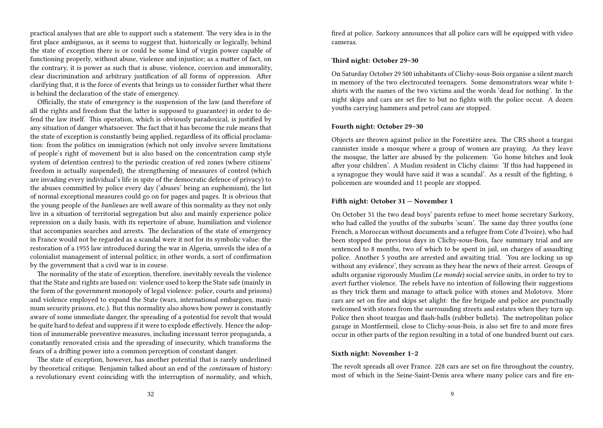practical analyses that are able to support such a statement. The very idea is in the first place ambiguous, as it seems to suggest that, historically or logically, behind the state of exception there is or could be some kind of virgin power capable of functioning properly, without abuse, violence and injustice; as a matter of fact, on the contrary, it is power as such that is abuse, violence, coercion and immorality, clear discrimination and arbitrary justification of all forms of oppression. After clarifying that, it is the force of events that brings us to consider further what there is behind the declaration of the state of emergency.

Officially, the state of emergency is the suspension of the law (and therefore of all the rights and freedom that the latter is supposed to guarantee) in order to defend the law itself. This operation, which is obviously paradoxical, is justified by any situation of danger whatsoever. The fact that it has become the rule means that the state of exception is constantly being applied, regardless of its official proclamation: from the politics on immigration (which not only involve severe limitations of people's right of movement but is also based on the concentration camp style system of detention centres) to the periodic creation of red zones (where citizens' freedom is actually suspended), the strengthening of measures of control (which are invading every individual's life in spite of the democratic defence of privacy) to the abuses committed by police every day ('abuses' being an euphemism), the list of normal exceptional measures could go on for pages and pages. It is obvious that the young people of the *banlieues* are well aware of this normality as they not only live in a situation of territorial segregation but also and mainly experience police repression on a daily basis, with its repertoire of abuse, humiliation and violence that accompanies searches and arrests. The declaration of the state of emergency in France would not be regarded as a scandal were it not for its symbolic value: the restoration of a 1955 law introduced during the war in Algeria, unveils the idea of a colonialist management of internal politics; in other words, a sort of confirmation by the government that a civil war is in course.

The normality of the state of exception, therefore, inevitably reveals the violence that the State and rights are based on: violence used to keep the State safe (mainly in the form of the government monopoly of legal violence: police, courts and prisons) and violence employed to expand the State (wars, international embargoes, maximum security prisons, etc.). But this normality also shows how power is constantly aware of some immediate danger, the spreading of a potential for revolt that would be quite hard to defeat and suppress if it were to explode effectively. Hence the adoption of innumerable preventive measures, including incessant terror propaganda, a constantly renovated crisis and the spreading of insecurity, which transforms the fears of a drifting power into a common perception of constant danger.

The state of exception, however, has another potential that is rarely underlined by theoretical critique. Benjamin talked about an end of the *continuum* of history: a revolutionary event coinciding with the interruption of normality, and which, fired at police. Sarkozy announces that all police cars will be equipped with video cameras.

### **Third night: October 29–30**

On Saturday October 29 500 inhabitants of Clichy-sous-Bois organise a silent march in memory of the two electrocuted teenagers. Some demonstrators wear white tshirts with the names of the two victims and the words 'dead for nothing'. In the night skips and cars are set fire to but no fights with the police occur. A dozen youths carrying hammers and petrol cans are stopped.

### **Fourth night: October 29–30**

Objects are thrown against police in the Forestière area. The CRS shoot a teargas cannister inside a mosque where a group of women are praying. As they leave the mosque, the latter are abused by the policemen: 'Go home bitches and look after your children'. A Muslim resident in Clichy claims: 'If this had happened in a synagogue they would have said it was a scandal'. As a result of the fighting, 6 policemen are wounded and 11 people are stopped.

### **Fifth night: October 31 — November 1**

On October 31 the two dead boys' parents refuse to meet home secretary Sarkozy, who had called the youths of the suburbs 'scum'. The same day three youths (one French, a Moroccan without documents and a refugee from Cote d'Ivoire), who had been stopped the previous days in Clichy-sous-Bois, face summary trial and are sentenced to 8 months, two of which to be spent in jail, on charges of assaulting police. Another 5 youths are arrested and awaiting trial. 'You are locking us up without any evidence', they scream as they hear the news of their arrest. Groups of adults organise rigorously Muslim (*Le monde*) social service units, in order to try to avert further violence. The rebels have no intention of following their suggestions as they trick them and manage to attack police with stones and Molotovs. More cars are set on fire and skips set alight: the fire brigade and police are punctually welcomed with stones from the surrounding streets and estates when they turn up. Police then shoot teargas and flash-balls (rubber bullets). The metropolitan police garage in Montfermeil, close to Clichy-sous-Bois, is also set fire to and more fires occur in other parts of the region resulting in a total of one hundred burnt out cars.

### **Sixth night: November 1–2**

The revolt spreads all over France. 228 cars are set on fire throughout the country, most of which in the Seine-Saint-Denis area where many police cars and fire en-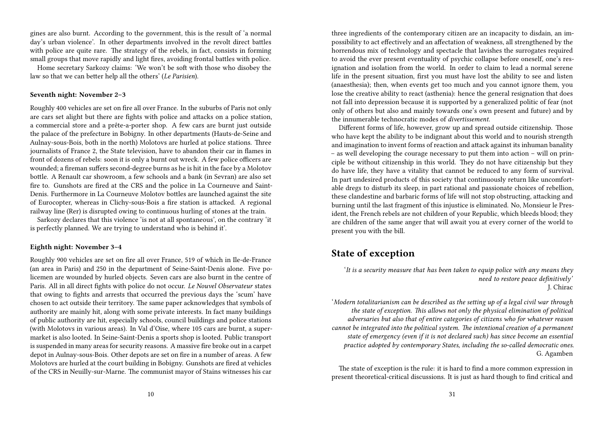gines are also burnt. According to the government, this is the result of 'a normal day's urban violence'. In other departments involved in the revolt direct battles with police are quite rare. The strategy of the rebels, in fact, consists in forming small groups that move rapidly and light fires, avoiding frontal battles with police.

Home secretary Sarkozy claims: 'We won't be soft with those who disobey the law so that we can better help all the others' (*Le Parisien*).

### **Seventh night: November 2–3**

Roughly 400 vehicles are set on fire all over France. In the suburbs of Paris not only are cars set alight but there are fights with police and attacks on a police station, a commercial store and a prête-a-porter shop. A few cars are burnt just outside the palace of the prefecture in Bobigny. In other departments (Hauts-de-Seine and Aulnay-sous-Bois, both in the north) Molotovs are hurled at police stations. Three journalists of France 2, the State television, have to abandon their car in flames in front of dozens of rebels: soon it is only a burnt out wreck. A few police officers are wounded; a fireman suffers second-degree burns as he is hit in the face by a Molotov bottle. A Renault car showroom, a few schools and a bank (in Sevran) are also set fire to. Gunshots are fired at the CRS and the police in La Courneuve and Saint-Denis. Furthermore in La Courneuve Molotov bottles are launched against the site of Eurocopter, whereas in Clichy-sous-Bois a fire station is attacked. A regional railway line (Rer) is disrupted owing to continuous hurling of stones at the train.

Sarkozy declares that this violence 'is not at all spontaneous', on the contrary 'it is perfectly planned. We are trying to understand who is behind it'.

### **Eighth night: November 3–4**

Roughly 900 vehicles are set on fire all over France, 519 of which in Ile-de-France (an area in Paris) and 250 in the department of Seine-Saint-Denis alone. Five policemen are wounded by hurled objects. Seven cars are also burnt in the centre of Paris. All in all direct fights with police do not occur. *Le Nouvel Observateur* states that owing to fights and arrests that occurred the previous days the 'scum' have chosen to act outside their territory. The same paper acknowledges that symbols of authority are mainly hit, along with some private interests. In fact many buildings of public authority are hit, especially schools, council buildings and police stations (with Molotovs in various areas). In Val d'Oise, where 105 cars are burnt, a supermarket is also looted. In Seine-Saint-Denis a sports shop is looted. Public transport is suspended in many areas for security reasons. A massive fire broke out in a carpet depot in Aulnay-sous-Bois. Other depots are set on fire in a number of areas. A few Molotovs are hurled at the court building in Bobigny. Gunshots are fired at vehicles of the CRS in Neuilly-sur-Marne. The communist mayor of Stains witnesses his car

three ingredients of the contemporary citizen are an incapacity to disdain, an impossibility to act effectively and an affectation of weakness, all strengthened by the horrendous mix of technology and spectacle that lavishes the surrogates required to avoid the ever present eventuality of psychic collapse before oneself, one's resignation and isolation from the world. In order to claim to lead a normal serene life in the present situation, first you must have lost the ability to see and listen (anaesthesia); then, when events get too much and you cannot ignore them, you lose the creative ability to react (asthenia): hence the general resignation that does not fall into depression because it is supported by a generalized politic of fear (not only of others but also and mainly towards one's own present and future) and by the innumerable technocratic modes of *divertissement.*

Different forms of life, however, grow up and spread outside citizenship. Those who have kept the ability to be indignant about this world and to nourish strength and imagination to invent forms of reaction and attack against its inhuman banality – as well developing the courage necessary to put them into action – will on principle be without citizenship in this world. They do not have citizenship but they do have life, they have a vitality that cannot be reduced to any form of survival. In part undesired products of this society that continuously return like uncomfortable dregs to disturb its sleep, in part rational and passionate choices of rebellion, these clandestine and barbaric forms of life will not stop obstructing, attacking and burning until the last fragment of this injustice is eliminated. No, Monsieur le President, the French rebels are not children of your Republic, which bleeds blood; they are children of the same anger that will await you at every corner of the world to present you with the bill.

### **State of exception**

'*It is a security measure that has been taken to equip police with any means they need to restore peace definitively'* J. Chirac

'*Modern totalitarianism can be described as the setting up of a legal civil war through the state of exception. This allows not only the physical elimination of political adversaries but also that of entire categories of citizens who for whatever reason cannot be integrated into the political system. The intentional creation of a permanent state of emergency (even if it is not declared such) has since become an essential practice adopted by contemporary States, including the so-called democratic ones.* G. Agamben

The state of exception is the rule: it is hard to find a more common expression in present theoretical-critical discussions. It is just as hard though to find critical and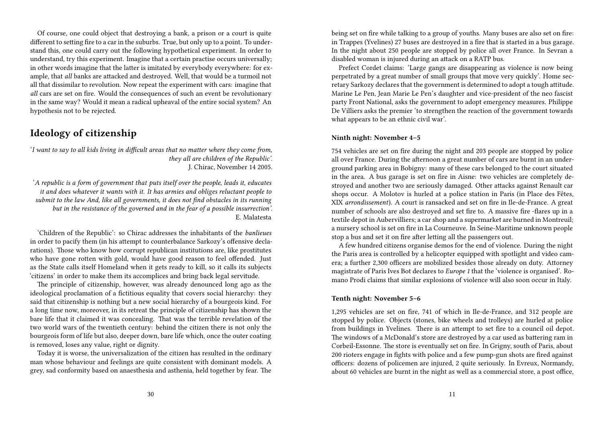Of course, one could object that destroying a bank, a prison or a court is quite different to setting fire to a car in the suburbs. True, but only up to a point. To understand this, one could carry out the following hypothetical experiment. In order to understand, try this experiment. Imagine that a certain practise occurs universally; in other words imagine that the latter is imitated by everybody everywhere: for example, that *all* banks are attacked and destroyed. Well, that would be a turmoil not all that dissimilar to revolution. Now repeat the experiment with cars: imagine that *all* cars are set on fire. Would the consequences of such an event be revolutionary in the same way? Would it mean a radical upheaval of the entire social system? An hypothesis not to be rejected.

## **Ideology of citizenship**

'*I want to say to all kids living in difficult areas that no matter where they come from, they all are children of the Republic'.* J. Chirac, November 14 2005.

'*A republic is a form of government that puts itself over the people, leads it, educates it and does whatever it wants with it. It has armies and obliges reluctant people to submit to the law And, like all governments, it does not find obstacles in its running but in the resistance of the governed and in the fear of a possible insurrection'.* E. Malatesta

'Children of the Republic': so Chirac addresses the inhabitants of the *banlieues* in order to pacify them (in his attempt to counterbalance Sarkozy's offensive declarations). Those who know how corrupt republican institutions are, like prostitutes who have gone rotten with gold, would have good reason to feel offended. Just as the State calls itself Homeland when it gets ready to kill, so it calls its subjects 'citizens' in order to make them its accomplices and bring back legal servitude.

The principle of citizenship, however, was already denounced long ago as the ideological proclamation of a fictitious equality that covers social hierarchy: they said that citizenship is nothing but a new social hierarchy of a bourgeois kind. For a long time now, moreover, in its retreat the principle of citizenship has shown the bare life that it claimed it was concealing. That was the terrible revelation of the two world wars of the twentieth century: behind the citizen there is not only the bourgeois form of life but also, deeper down, bare life which, once the outer coating is removed, loses any value, right or dignity.

Today it is worse, the universalization of the citizen has resulted in the ordinary man whose behaviour and feelings are quite consistent with dominant models. A grey, sad conformity based on anaesthesia and asthenia, held together by fear. The being set on fire while talking to a group of youths. Many buses are also set on fire: in Trappes (Yvelines) 27 buses are destroyed in a fire that is started in a bus garage. In the night about 250 people are stopped by police all over France. In Sevran a disabled woman is injured during an attack on a RATP bus.

Prefect Cordet claims: 'Large gangs are disappearing as violence is now being perpetrated by a great number of small groups that move very quickly'. Home secretary Sarkozy declares that the government is determined to adopt a tough attitude. Marine Le Pen, Jean Marie Le Pen's daughter and vice-president of the neo fascist party Front National, asks the government to adopt emergency measures. Philippe De Villiers asks the premier 'to strengthen the reaction of the government towards what appears to be an ethnic civil war'.

### **Ninth night: November 4–5**

754 vehicles are set on fire during the night and 203 people are stopped by police all over France. During the afternoon a great number of cars are burnt in an underground parking area in Bobigny: many of these cars belonged to the court situated in the area. A bus garage is set on fire in Aisne: two vehicles are completely destroyed and another two are seriously damaged. Other attacks against Renault car shops occur. A Molotov is hurled at a police station in Paris (in Place des Fêtes, XIX *arrondissement*). A court is ransacked and set on fire in Ile-de-France. A great number of schools are also destroyed and set fire to. A massive fire -flares up in a textile depot in Aubervilliers; a car shop and a supermarket are burned in Montreuil; a nursery school is set on fire in La Courneuve. In Seine-Maritime unknown people stop a bus and set it on fire after letting all the passengers out.

A few hundred citizens organise demos for the end of violence. During the night the Paris area is controlled by a helicopter equipped with spotlight and video camera; a further 2,300 officers are mobilized besides those already on duty. Attorney magistrate of Paris Ives Bot declares to *Europe 1* that the 'violence is organised'. Romano Prodi claims that similar explosions of violence will also soon occur in Italy.

### **Tenth night: November 5–6**

1,295 vehicles are set on fire, 741 of which in Ile-de-France, and 312 people are stopped by police. Objects (stones, bike wheels and trolleys) are hurled at police from buildings in Yvelines. There is an attempt to set fire to a council oil depot. The windows of a McDonald's store are destroyed by a car used as battering ram in Corbeil-Essonne. The store is eventually set on fire. In Grigny, south of Paris, about 200 rioters engage in fights with police and a few pump-gun shots are fired against officers: dozens of policemen are injured, 2 quite seriously. In Evreux, Normandy, about 60 vehicles are burnt in the night as well as a commercial store, a post office,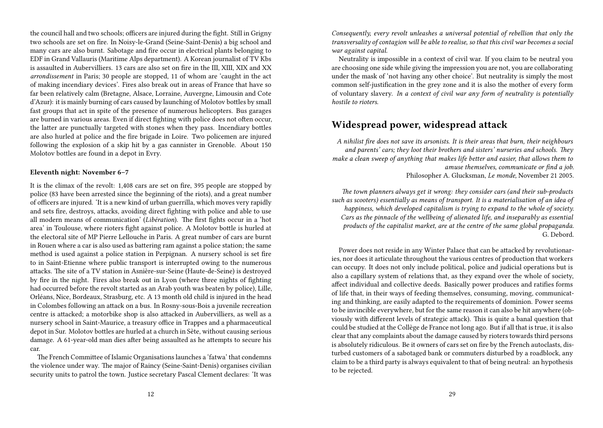the council hall and two schools; officers are injured during the fight. Still in Grigny two schools are set on fire. In Noisy-le-Grand (Seine-Saint-Denis) a big school and many cars are also burnt. Sabotage and fire occur in electrical plants belonging to EDF in Grand Vallauris (Maritime Alps department). A Korean journalist of TV Kbs is assaulted in Aubervilliers. 13 cars are also set on fire in the III, XIII, XIX and XX *arrondissement* in Paris; 30 people are stopped, 11 of whom are 'caught in the act of making incendiary devices'. Fires also break out in areas of France that have so far been relatively calm (Bretagne, Alsace, Lorraine, Auvergne, Limousin and Cote d'Azur): it is mainly burning of cars caused by launching of Molotov bottles by small fast groups that act in spite of the presence of numerous helicopters. Bus garages are burned in various areas. Even if direct fighting with police does not often occur, the latter are punctually targeted with stones when they pass. Incendiary bottles are also hurled at police and the fire brigade in Loire. Two policemen are injured following the explosion of a skip hit by a gas cannister in Grenoble. About 150 Molotov bottles are found in a depot in Evry.

### **Eleventh night: November 6–7**

It is the climax of the revolt: 1,408 cars are set on fire, 395 people are stopped by police (83 have been arrested since the beginning of the riots), and a great number of officers are injured. 'It is a new kind of urban guerrilla, which moves very rapidly and sets fire, destroys, attacks, avoiding direct fighting with police and able to use all modern means of communication' (*Libération*). The first fights occur in a 'hot area' in Toulouse, where rioters fight against police. A Molotov bottle is hurled at the electoral site of MP Pierre Lellouche in Paris. A great number of cars are burnt in Rouen where a car is also used as battering ram against a police station; the same method is used against a police station in Perpignan. A nursery school is set fire to in Saint-Etienne where public transport is interrupted owing to the numerous attacks. The site of a TV station in Asnière-sur-Seine (Haute-de-Seine) is destroyed by fire in the night. Fires also break out in Lyon (where three nights of fighting had occurred before the revolt started as an Arab youth was beaten by police), Lille, Orléans, Nice, Bordeaux, Strasburg, etc. A 13 month old child is injured in the head in Colombes following an attack on a bus. In Rosny-sous-Bois a juvenile recreation centre is attacked; a motorbike shop is also attacked in Aubervilliers, as well as a nursery school in Saint-Maurice, a treasury office in Trappes and a pharmaceutical depot in Sur. Molotov bottles are hurled at a church in Sète, without causing serious damage. A 61-year-old man dies after being assaulted as he attempts to secure his car.

The French Committee of Islamic Organisations launches a 'fatwa' that condemns the violence under way. The major of Raincy (Seine-Saint-Denis) organises civilian security units to patrol the town. Justice secretary Pascal Clement declares: 'It was *Consequently, every revolt unleashes a universal potential of rebellion that only the transversality of contagion will be able to realise, so that this civil war becomes a social war against capital.*

Neutrality is impossible in a context of civil war. If you claim to be neutral you are choosing one side while giving the impression you are not, you are collaborating under the mask of 'not having any other choice'. But neutrality is simply the most common self-justification in the grey zone and it is also the mother of every form of voluntary slavery. *In a context of civil war any form of neutrality is potentially hostile to rioters.*

## **Widespread power, widespread attack**

*A nihilist fire does not save its arsonists. It is their areas that burn, their neighbours and parents' cars; they loot their brothers and sisters' nurseries and schools. They make a clean sweep of anything that makes life better and easier, that allows them to amuse themselves, communicate or find a job.* Philosopher A. Glucksman, *Le monde,* November 21 2005.

*The town planners always get it wrong: they consider cars (and their sub-products such as scooters) essentially as means of transport. It is a materialisation of an idea of happiness, which developed capitalism is trying to expand to the whole of society. Cars as the pinnacle of the wellbeing of alienated life, and inseparably as essential products of the capitalist market, are at the centre of the same global propaganda.* G. Debord.

Power does not reside in any Winter Palace that can be attacked by revolutionaries, nor does it articulate throughout the various centres of production that workers can occupy. It does not only include political, police and judicial operations but is also a capillary system of relations that, as they expand over the whole of society, affect individual and collective deeds. Basically power produces and ratifies forms of life that, in their ways of feeding themselves, consuming, moving, communicating and thinking, are easily adapted to the requirements of dominion. Power seems to be invincible everywhere, but for the same reason it can also be hit anywhere (obviously with different levels of strategic attack). This is quite a banal question that could be studied at the Collège de France not long ago. But if all that is true, it is also clear that any complaints about the damage caused by rioters towards third persons is absolutely ridiculous. Be it owners of cars set on fire by the French autoclasts, disturbed customers of a sabotaged bank or commuters disturbed by a roadblock, any claim to be a third party is always equivalent to that of being neutral: an hypothesis to be rejected.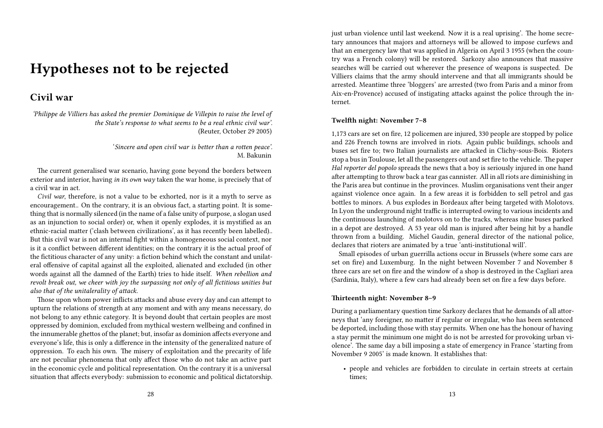# **Hypotheses not to be rejected**

## **Civil war**

*'Philippe de Villiers has asked the premier Dominique de Villepin to raise the level of the State's response to what seems to be a real ethnic civil war'.* (Reuter, October 29 2005)

> '*Sincere and open civil war is better than a rotten peace'.* M. Bakunin

The current generalised war scenario, having gone beyond the borders between exterior and interior, having *in its own way* taken the war home, is precisely that of a civil war in act.

*Civil war*, therefore, is not a value to be exhorted, nor is it a myth to serve as encouragement.. On the contrary, it is an obvious fact, a starting point. It is something that is normally silenced (in the name of a false unity of purpose, a slogan used as an injunction to social order) or, when it openly explodes, it is mystified as an ethnic-racial matter ('clash between civilizations', as it has recently been labelled).. But this civil war is not an internal fight within a homogeneous social context, nor is it a conflict between different identities; on the contrary it is the actual proof of the fictitious character of any unity: a fiction behind which the constant and unilateral offensive of capital against all the exploited, alienated and excluded (in other words against all the damned of the Earth) tries to hide itself. *When rebellion and revolt break out, we cheer with joy the surpassing not only of all fictitious unities but also that of the unitalerality of attack.*

Those upon whom power inflicts attacks and abuse every day and can attempt to upturn the relations of strength at any moment and with any means necessary, do not belong to any ethnic category. It is beyond doubt that certain peoples are most oppressed by dominion, excluded from mythical western wellbeing and confined in the innumerable ghettos of the planet; but, insofar as dominion affects everyone and everyone's life, this is only a difference in the intensity of the generalized nature of oppression. To each his own. The misery of exploitation and the precarity of life are not peculiar phenomena that only affect those who do not take an active part in the economic cycle and political representation. On the contrary it is a universal situation that affects everybody: submission to economic and political dictatorship. just urban violence until last weekend. Now it is a real uprising'. The home secretary announces that majors and attorneys will be allowed to impose curfews and that an emergency law that was applied in Algeria on April 3 1955 (when the country was a French colony) will be restored. Sarkozy also announces that massive searches will be carried out wherever the presence of weapons is suspected. De Villiers claims that the army should intervene and that all immigrants should be arrested. Meantime three 'bloggers' are arrested (two from Paris and a minor from Aix-en-Provence) accused of instigating attacks against the police through the internet.

### **Twelfth night: November 7–8**

1,173 cars are set on fire, 12 policemen are injured, 330 people are stopped by police and 226 French towns are involved in riots. Again public buildings, schools and buses set fire to; two Italian journalists are attacked in Clichy-sous-Bois. Rioters stop a bus in Toulouse, let all the passengers out and set fire to the vehicle. The paper *Hal reporter del popolo* spreads the news that a boy is seriously injured in one hand after attempting to throw back a tear gas cannister. All in all riots are diminishing in the Paris area but continue in the provinces. Muslim organisations vent their anger against violence once again. In a few areas it is forbidden to sell petrol and gas bottles to minors. A bus explodes in Bordeaux after being targeted with Molotovs. In Lyon the underground night traffic is interrupted owing to various incidents and the continuous launching of molotovs on to the tracks, whereas nine buses parked in a depot are destroyed. A 53 year old man is injured after being hit by a handle thrown from a building. Michel Gaudin, general director of the national police, declares that rioters are animated by a true 'anti-institutional will'.

Small episodes of urban guerrilla actions occur in Brussels (where some cars are set on fire) and Luxemburg. In the night between November 7 and November 8 three cars are set on fire and the window of a shop is destroyed in the Cagliari area (Sardinia, Italy), where a few cars had already been set on fire a few days before.

### **Thirteenth night: November 8–9**

During a parliamentary question time Sarkozy declares that he demands of all attorneys that 'any foreigner, no matter if regular or irregular, who has been sentenced be deported, including those with stay permits. When one has the honour of having a stay permit the minimum one might do is not be arrested for provoking urban violence'. The same day a bill imposing a state of emergency in France 'starting from November 9 2005' is made known. It establishes that:

• people and vehicles are forbidden to circulate in certain streets at certain times;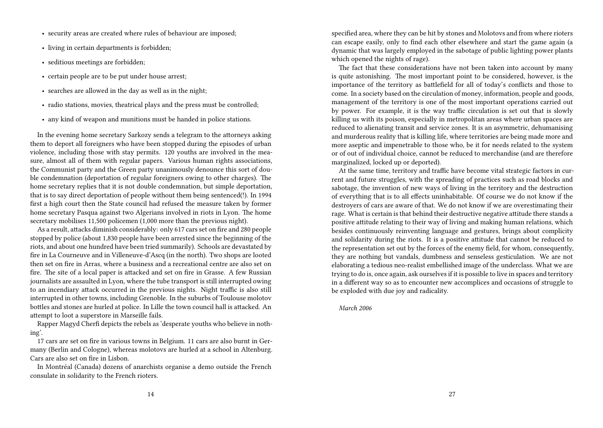- security areas are created where rules of behaviour are imposed;
- living in certain departments is forbidden;
- seditious meetings are forbidden;
- certain people are to be put under house arrest;
- searches are allowed in the day as well as in the night;
- radio stations, movies, theatrical plays and the press must be controlled;
- any kind of weapon and munitions must be handed in police stations.

In the evening home secretary Sarkozy sends a telegram to the attorneys asking them to deport all foreigners who have been stopped during the episodes of urban violence, including those with stay permits. 120 youths are involved in the measure, almost all of them with regular papers. Various human rights associations, the Communist party and the Green party unanimously denounce this sort of double condemnation (deportation of regular foreigners owing to other charges). The home secretary replies that it is not double condemnation, but simple deportation, that is to say direct deportation of people without them being sentenced(!). In 1994 first a high court then the State council had refused the measure taken by former home secretary Pasqua against two Algerians involved in riots in Lyon. The home secretary mobilises 11,500 policemen (1,000 more than the previous night).

As a result, attacks diminish considerably: only 617 cars set on fire and 280 people stopped by police (about 1,830 people have been arrested since the beginning of the riots, and about one hundred have been tried summarily). Schools are devastated by fire in La Courneuve and in Villeneuve-d'Ascq (in the north). Two shops are looted then set on fire in Arras, where a business and a recreational centre are also set on fire. The site of a local paper is attacked and set on fire in Grasse. A few Russian journalists are assaulted in Lyon, where the tube transport is still interrupted owing to an incendiary attack occurred in the previous nights. Night traffic is also still interrupted in other towns, including Grenoble. In the suburbs of Toulouse molotov bottles and stones are hurled at police. In Lille the town council hall is attacked. An attempt to loot a superstore in Marseille fails.

Rapper Magyd Cherfi depicts the rebels as 'desperate youths who believe in nothing'.

17 cars are set on fire in various towns in Belgium. 11 cars are also burnt in Germany (Berlin and Cologne), whereas molotovs are hurled at a school in Altenburg. Cars are also set on fire in Lisbon.

In Montréal (Canada) dozens of anarchists organise a demo outside the French consulate in solidarity to the French rioters.

specified area, where they can be hit by stones and Molotovs and from where rioters can escape easily, only to find each other elsewhere and start the game again (a dynamic that was largely employed in the sabotage of public lighting power plants which opened the nights of rage).

The fact that these considerations have not been taken into account by many is quite astonishing. The most important point to be considered, however, is the importance of the territory as battlefield for all of today's conflicts and those to come. In a society based on the circulation of money, information, people and goods, management of the territory is one of the most important operations carried out by power. For example, it is the way traffic circulation is set out that is slowly killing us with its poison, especially in metropolitan areas where urban spaces are reduced to alienating transit and service zones. It is an asymmetric, dehumanising and murderous reality that is killing life, where territories are being made more and more aseptic and impenetrable to those who, be it for needs related to the system or of out of individual choice, cannot be reduced to merchandise (and are therefore marginalized, locked up or deported).

At the same time, territory and traffic have become vital strategic factors in current and future struggles, with the spreading of practices such as road blocks and sabotage, the invention of new ways of living in the territory and the destruction of everything that is to all effects uninhabitable. Of course we do not know if the destroyers of cars are aware of that. We do not know if we are overestimating their rage. What is certain is that behind their destructive negative attitude there stands a positive attitude relating to their way of living and making human relations, which besides continuously reinventing language and gestures, brings about complicity and solidarity during the riots. It is a positive attitude that cannot be reduced to the representation set out by the forces of the enemy field, for whom, consequently, they are nothing but vandals, dumbness and senseless gesticulation. We are not elaborating a tedious neo-realist embellished image of the underclass. What we are trying to do is, once again, ask ourselves if it is possible to live in spaces and territory in a different way so as to encounter new accomplices and occasions of struggle to be exploded with due joy and radicality.

*March 2006*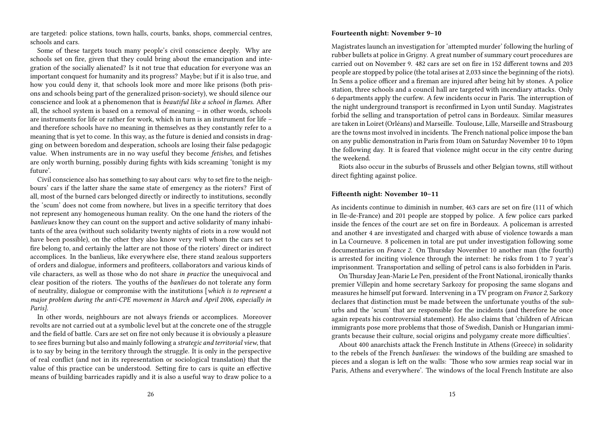are targeted: police stations, town halls, courts, banks, shops, commercial centres, schools and cars.

Some of these targets touch many people's civil conscience deeply. Why are schools set on fire, given that they could bring about the emancipation and integration of the socially alienated? Is it not true that education for everyone was an important conquest for humanity and its progress? Maybe; but if it is also true, and how you could deny it, that schools look more and more like prisons (both prisons and schools being part of the generalized prison-society), we should silence our conscience and look at a phenomenon that is *beautiful like a school in flames.* After all, the school system is based on a removal of meaning – in other words, schools are instruments for life or rather for work, which in turn is an instrument for life – and therefore schools have no meaning in themselves as they constantly refer to a meaning that is yet to come. In this way, as the future is denied and consists in dragging on between boredom and desperation, schools are losing their false pedagogic value. When instruments are in no way useful they become *fetishes,* and fetishes are only worth burning, possibly during fights with kids screaming 'tonight is my future'.

Civil conscience also has something to say about cars: why to set fire to the neighbours' cars if the latter share the same state of emergency as the rioters? First of all, most of the burned cars belonged directly or indirectly to institutions, secondly the 'scum' does not come from nowhere, but lives in a specific territory that does not represent any homogeneous human reality. On the one hand the rioters of the *banlieues* know they can count on the support and active solidarity of many inhabitants of the area (without such solidarity twenty nights of riots in a row would not have been possible), on the other they also know very well whom the cars set to fire belong to, and certainly the latter are not those of the rioters' direct or indirect accomplices. In the banlieus*,* like everywhere else, there stand zealous supporters of orders and dialogue, informers and profiteers, collaborators and various kinds of vile characters, as well as those who do not share *in practice* the unequivocal and clear position of the rioters. The youths of the *banlieues* do not tolerate any form of neutrality, dialogue or compromise with the institutions [*which is to represent a major problem during the anti-CPE movement in March and April 2006, especially in Paris].*

In other words, neighbours are not always friends or accomplices. Moreover revolts are not carried out at a symbolic level but at the concrete one of the struggle and the field of battle. Cars are set on fire not only because it is obviously a pleasure to see fires burning but also and mainly following a *strategic and territorial view*, that is to say by being in the territory through the struggle. It is only in the perspective of real conflict (and not in its representation or sociological translation) that the value of this practice can be understood. Setting fire to cars is quite an effective means of building barricades rapidly and it is also a useful way to draw police to a

### **Fourteenth night: November 9–10**

Magistrates launch an investigation for 'attempted murder' following the hurling of rubber bullets at police in Grigny. A great number of summary court procedures are carried out on November 9. 482 cars are set on fire in 152 different towns and 203 people are stopped by police (the total arises at 2,033 since the beginning of the riots). In Sens a police officer and a fireman are injured after being hit by stones. A police station, three schools and a council hall are targeted with incendiary attacks. Only 6 departments apply the curfew. A few incidents occur in Paris. The interruption of the night underground transport is reconfirmed in Lyon until Sunday. Magistrates forbid the selling and transportation of petrol cans in Bordeaux. Similar measures are taken in Loiret (Orléans) and Marseille. Toulouse, Lille, Marseille and Strasbourg are the towns most involved in incidents. The French national police impose the ban on any public demonstration in Paris from 10am on Saturday November 10 to 10pm the following day. It is feared that violence might occur in the city centre during the weekend.

Riots also occur in the suburbs of Brussels and other Belgian towns, still without direct fighting against police.

### **Fifteenth night: November 10–11**

As incidents continue to diminish in number, 463 cars are set on fire (111 of which in Ile-de-France) and 201 people are stopped by police. A few police cars parked inside the fences of the court are set on fire in Bordeaux. A policeman is arrested and another 4 are investigated and charged with abuse of violence towards a man in La Courneuve. 8 policemen in total are put under investigation following some documentaries on *France 2*. On Thursday November 10 another man (the fourth) is arrested for inciting violence through the internet: he risks from 1 to 7 year's imprisonment. Transportation and selling of petrol cans is also forbidden in Paris.

OnThursday Jean-Marie Le Pen, president of the Front National, ironically thanks premier Villepin and home secretary Sarkozy for proposing the same slogans and measures he himself put forward. Intervening in a TV program on *France 2*, Sarkozy declares that distinction must be made between the unfortunate youths of the suburbs and the 'scum' that are responsible for the incidents (and therefore he once again repeats his controversial statement). He also claims that 'children of African immigrants pose more problems that those of Swedish, Danish or Hungarian immigrants because their culture, social origins and polygamy create more difficulties'.

About 400 anarchists attack the French Institute in Athens (Greece) in solidarity to the rebels of the French *banlieues*: the windows of the building are smashed to pieces and a slogan is left on the walls: 'Those who sow armies reap social war in Paris, Athens and everywhere'. The windows of the local French Institute are also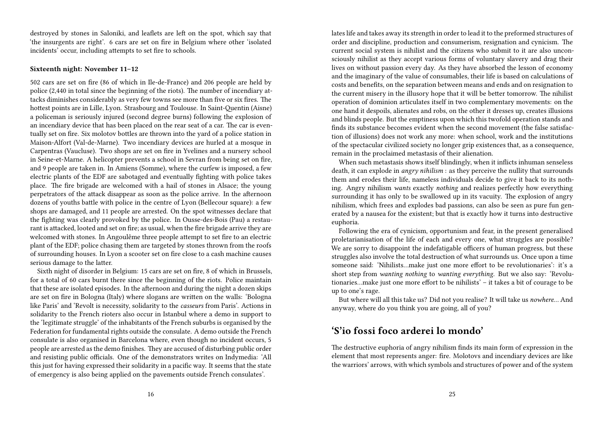destroyed by stones in Saloniki, and leaflets are left on the spot, which say that 'the insurgents are right'. 6 cars are set on fire in Belgium where other 'isolated incidents' occur, including attempts to set fire to schools.

### **Sixteenth night: November 11–12**

502 cars are set on fire (86 of which in Ile-de-France) and 206 people are held by police (2,440 in total since the beginning of the riots). The number of incendiary attacks diminishes considerably as very few towns see more than five or six fires. The hottest points are in Lille, Lyon. Strasbourg and Toulouse. In Saint-Quentin (Aisne) a policeman is seriously injured (second degree burns) following the explosion of an incendiary device that has been placed on the rear seat of a car. The car is eventually set on fire. Six molotov bottles are thrown into the yard of a police station in Maison-Alfort (Val-de-Marne). Two incendiary devices are hurled at a mosque in Carpentras (Vaucluse). Two shops are set on fire in Yvelines and a nursery school in Seine-et-Marne. A helicopter prevents a school in Sevran from being set on fire, and 9 people are taken in. In Amiens (Somme), where the curfew is imposed, a few electric plants of the EDF are sabotaged and eventually fighting with police takes place. The fire brigade are welcomed with a hail of stones in Alsace; the young perpetrators of the attack disappear as soon as the police arrive. In the afternoon dozens of youths battle with police in the centre of Lyon (Bellecour square): a few shops are damaged, and 11 people are arrested. On the spot witnesses declare that the fighting was clearly provoked by the police. In Ousse-des-Bois (Pau) a restaurant is attacked, looted and set on fire; as usual, when the fire brigade arrive they are welcomed with stones. In Angoulême three people attempt to set fire to an electric plant of the EDF; police chasing them are targeted by stones thrown from the roofs of surrounding houses. In Lyon a scooter set on fire close to a cash machine causes serious damage to the latter.

Sixth night of disorder in Belgium: 15 cars are set on fire, 8 of which in Brussels, for a total of 60 cars burnt there since the beginning of the riots. Police maintain that these are isolated episodes. In the afternoon and during the night a dozen skips are set on fire in Bologna (Italy) where slogans are written on the walls: 'Bologna like Paris' and 'Revolt is necessity, solidarity to the *casseurs* from Paris'. Actions in solidarity to the French rioters also occur in Istanbul where a demo in support to the 'legitimate struggle' of the inhabitants of the French suburbs is organised by the Federation for fundamental rights outside the consulate. A demo outside the French consulate is also organised in Barcelona where, even though no incident occurs, 5 people are arrested as the demo finishes. They are accused of disturbing public order and resisting public officials. One of the demonstrators writes on Indymedia: 'All this just for having expressed their solidarity in a pacific way. It seems that the state of emergency is also being applied on the pavements outside French consulates'.

lates life and takes away its strength in order to lead it to the preformed structures of order and discipline, production and consumerism, resignation and cynicism. The current social system is nihilist and the citizens who submit to it are also unconsciously nihilist as they accept various forms of voluntary slavery and drag their lives on without passion every day. As they have absorbed the lesson of economy and the imaginary of the value of consumables, their life is based on calculations of costs and benefits, on the separation between means and ends and on resignation to the current misery in the illusory hope that it will be better tomorrow. The nihilist operation of dominion articulates itself in two complementary movements: on the one hand it despoils, alienates and robs, on the other it dresses up, creates illusions and blinds people. But the emptiness upon which this twofold operation stands and finds its substance becomes evident when the second movement (the false satisfaction of illusions) does not work any more: when school, work and the institutions of the spectacular civilized society no longer grip existences that, as a consequence, remain in the proclaimed metastasis of their alienation.

When such metastasis shows itself blindingly, when it inflicts inhuman senseless death, it can explode in *angry nihilism* : as they perceive the nullity that surrounds them and erodes their life, nameless individuals decide to give it back to its nothing. Angry nihilism *wants* exactly *nothing* and realizes perfectly how everything surrounding it has only to be swallowed up in its vacuity. The explosion of angry nihilism, which frees and explodes bad passions, can also be seen as pure fun generated by a nausea for the existent; but that is exactly how it turns into destructive euphoria.

Following the era of cynicism, opportunism and fear, in the present generalised proletarianisation of the life of each and every one, what struggles are possible? We are sorry to disappoint the indefatigable officers of human progress, but these struggles also involve the total destruction of what surrounds us. Once upon a time someone said: 'Nihilists…make just one more effort to be revolutionaries': it's a short step from *wanting nothing* to *wanting everything*. But we also say: 'Revolutionaries…make just one more effort to be nihilists' – it takes a bit of courage to be up to one's rage.

But where will all this take us? Did not you realise? It will take us *nowhere…* And anyway, where do you think you are going, all of you?

## **'S'io fossi foco arderei lo mondo'**

The destructive euphoria of angry nihilism finds its main form of expression in the element that most represents anger: fire. Molotovs and incendiary devices are like the warriors' arrows, with which symbols and structures of power and of the system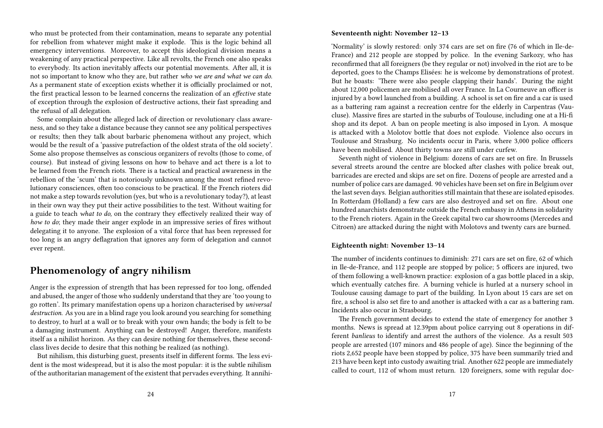who must be protected from their contamination, means to separate any potential for rebellion from whatever might make it explode. This is the logic behind all emergency interventions. Moreover, to accept this ideological division means a weakening of any practical perspective. Like all revolts, the French one also speaks to everybody. Its action inevitably affects our potential movements. After all, it is not so important to know who they are, but rather *who we are and what we can do*. As a permanent state of exception exists whether it is officially proclaimed or not, the first practical lesson to be learned concerns the realization of an *effective* state of exception through the explosion of destructive actions, their fast spreading and the refusal of all delegation.

Some complain about the alleged lack of direction or revolutionary class awareness, and so they take a distance because they cannot see any political perspectives or results; then they talk about barbaric phenomena without any project, which would be the result of a 'passive putrefaction of the oldest strata of the old society'. Some also propose themselves as conscious organizers of revolts (those to come, of course). But instead of giving lessons on how to behave and act there is a lot to be learned from the French riots. There is a tactical and practical awareness in the rebellion of the 'scum' that is notoriously unknown among the most refined revolutionary consciences, often too conscious to be practical. If the French rioters did not make a step towards revolution (yes, but who is a revolutionary today?), at least in their own way they put their active possibilities to the test. Without waiting for a guide to teach *what to do,* on the contrary they effectively realized their way of *how to do*; they made their anger explode in an impressive series of fires without delegating it to anyone. The explosion of a vital force that has been repressed for too long is an angry deflagration that ignores any form of delegation and cannot ever repent.

## **Phenomenology of angry nihilism**

Anger is the expression of strength that has been repressed for too long, offended and abused, the anger of those who suddenly understand that they are 'too young to go rotten'. Its primary manifestation opens up a horizon characterised by *universal destruction*. As you are in a blind rage you look around you searching for something to destroy, to hurl at a wall or to break with your own hands; the body is felt to be a damaging instrument. Anything can be destroyed! Anger, therefore, manifests itself as a nihilist horizon. As they can desire nothing for themselves, these secondclass lives decide to desire that this nothing be realized (as nothing).

But nihilism, this disturbing guest, presents itself in different forms. The less evident is the most widespread, but it is also the most popular: it is the subtle nihilism of the authoritarian management of the existent that pervades everything. It annihi-

### **Seventeenth night: November 12–13**

'Normality' is slowly restored: only 374 cars are set on fire (76 of which in Ile-de-France) and 212 people are stopped by police. In the evening Sarkozy, who has reconfirmed that all foreigners (be they regular or not) involved in the riot are to be deported, goes to the Champs Elisées: he is welcome by demonstrations of protest. But he boasts: 'There were also people clapping their hands'. During the night about 12,000 policemen are mobilised all over France. In La Courneuve an officer is injured by a bowl launched from a building. A school is set on fire and a car is used as a battering ram against a recreation centre for the elderly in Carpentras (Vaucluse). Massive fires are started in the suburbs of Toulouse, including one at a Hi-fi shop and its depot. A ban on people meeting is also imposed in Lyon. A mosque is attacked with a Molotov bottle that does not explode. Violence also occurs in Toulouse and Strasburg. No incidents occur in Paris, where 3,000 police officers have been mobilised. About thirty towns are still under curfew.

Seventh night of violence in Belgium: dozens of cars are set on fire. In Brussels several streets around the centre are blocked after clashes with police break out, barricades are erected and skips are set on fire. Dozens of people are arrested and a number of police cars are damaged. 90 vehicles have been set on fire in Belgium over the last seven days. Belgian authorities still maintain that these are isolated episodes. In Rotterdam (Holland) a few cars are also destroyed and set on fire. About one hundred anarchists demonstrate outside the French embassy in Athens in solidarity to the French rioters. Again in the Greek capital two car showrooms (Mercedes and Citroen) are attacked during the night with Molotovs and twenty cars are burned.

### **Eighteenth night: November 13–14**

The number of incidents continues to diminish: 271 cars are set on fire, 62 of which in Ile-de-France, and 112 people are stopped by police; 5 officers are injured, two of them following a well-known practice: explosion of a gas bottle placed in a skip, which eventually catches fire. A burning vehicle is hurled at a nursery school in Toulouse causing damage to part of the building. In Lyon about 15 cars are set on fire, a school is also set fire to and another is attacked with a car as a battering ram. Incidents also occur in Strasbourg.

The French government decides to extend the state of emergency for another 3 months. News is spread at 12.39pm about police carrying out 8 operations in different *banlieus* to identify and arrest the authors of the violence. As a result 503 people are arrested (107 minors and 486 people of age). Since the beginning of the riots 2,652 people have been stopped by police, 375 have been summarily tried and 213 have been kept into custody awaiting trial. Another 622 people are immediately called to court, 112 of whom must return. 120 foreigners, some with regular doc-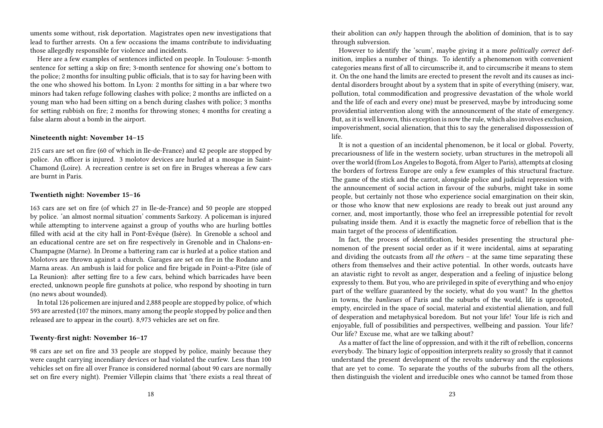uments some without, risk deportation. Magistrates open new investigations that lead to further arrests. On a few occasions the imams contribute to individuating those allegedly responsible for violence and incidents.

Here are a few examples of sentences inflicted on people. In Toulouse: 5-month sentence for setting a skip on fire; 3-month sentence for showing one's bottom to the police; 2 months for insulting public officials, that is to say for having been with the one who showed his bottom. In Lyon: 2 months for sitting in a bar where two minors had taken refuge following clashes with police; 2 months are inflicted on a young man who had been sitting on a bench during clashes with police; 3 months for setting rubbish on fire; 2 months for throwing stones; 4 months for creating a false alarm about a bomb in the airport.

### **Nineteenth night: November 14–15**

215 cars are set on fire (60 of which in Ile-de-France) and 42 people are stopped by police. An officer is injured. 3 molotov devices are hurled at a mosque in Saint-Chamond (Loire). A recreation centre is set on fire in Bruges whereas a few cars are burnt in Paris.

### **Twentieth night: November 15–16**

163 cars are set on fire (of which 27 in Ile-de-France) and 50 people are stopped by police. 'an almost normal situation' comments Sarkozy. A policeman is injured while attempting to intervene against a group of youths who are hurling bottles filled with acid at the city hall in Pont-Evêque (Isère). In Grenoble a school and an educational centre are set on fire respectively in Grenoble and in Chalons-en-Champagne (Marne). In Drome a battering ram car is hurled at a police station and Molotovs are thrown against a church. Garages are set on fire in the Rodano and Marna areas. An ambush is laid for police and fire brigade in Point-a-Pitre (isle of La Reunion): after setting fire to a few cars, behind which barricades have been erected, unknown people fire gunshots at police, who respond by shooting in turn (no news about wounded).

In total 126 policemen are injured and 2,888 people are stopped by police, of which 593 are arrested (107 the minors, many among the people stopped by police and then released are to appear in the court). 8,973 vehicles are set on fire.

### **Twenty-first night: November 16–17**

98 cars are set on fire and 33 people are stopped by police, mainly because they were caught carrying incendiary devices or had violated the curfew. Less than 100 vehicles set on fire all over France is considered normal (about 90 cars are normally set on fire every night). Premier Villepin claims that 'there exists a real threat of their abolition can *only* happen through the abolition of dominion, that is to say through subversion.

However to identify the 'scum', maybe giving it a more *politically correct* definition, implies a number of things. To identify a phenomenon with convenient categories means first of all to circumscribe it, and to circumscribe it means to stem it. On the one hand the limits are erected to present the revolt and its causes as incidental disorders brought about by a system that in spite of everything (misery, war, pollution, total commodification and progressive devastation of the whole world and the life of each and every one) must be preserved, maybe by introducing some providential intervention along with the announcement of the state of emergency. But, as it is well known, this exception is now the rule, which also involves exclusion, impoverishment, social alienation, that this to say the generalised dispossession of life.

It is not a question of an incidental phenomenon, be it local or global. Poverty, precariousness of life in the western society, urban structures in the metropoli all over the world (from Los Angeles to Bogotá, from Alger to Paris), attempts at closing the borders of fortress Europe are only a few examples of this structural fracture. The game of the stick and the carrot, alongside police and judicial repression with the announcement of social action in favour of the suburbs, might take in some people, but certainly not those who experience social emargination on their skin, or those who know that new explosions are ready to break out just around any corner, and, most importantly, those who feel an irrepressible potential for revolt pulsating inside them. And it is exactly the magnetic force of rebellion that is the main target of the process of identification.

In fact, the process of identification, besides presenting the structural phenomenon of the present social order as if it were incidental, aims at separating and dividing the outcasts from *all the others* – at the same time separating these others from themselves and their active potential. In other words, outcasts have an atavistic right to revolt as anger, desperation and a feeling of injustice belong expressly to them. But you, who are privileged in spite of everything and who enjoy part of the welfare guaranteed by the society, what do you want? In the ghettos in towns, the *banlieues* of Paris and the suburbs of the world, life is uprooted, empty, encircled in the space of social, material and existential alienation, and full of desperation and metaphysical boredom. But not your life! Your life is rich and enjoyable, full of possibilities and perspectives, wellbeing and passion. Your life? Our life? Excuse me, what are we talking about?

As a matter of fact the line of oppression, and with it the rift of rebellion, concerns everybody. The binary logic of opposition interprets reality so grossly that it cannot understand the present development of the revolts underway and the explosions that are yet to come. To separate the youths of the suburbs from all the others, then distinguish the violent and irreducible ones who cannot be tamed from those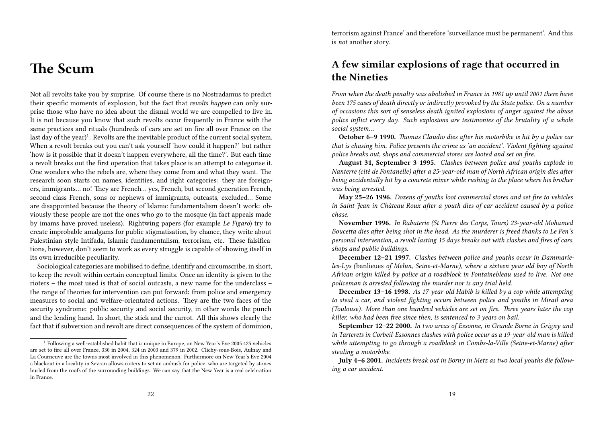# **The Scum**

Not all revolts take you by surprise. Of course there is no Nostradamus to predict their specific moments of explosion, but the fact that *revolts happen* can only surprise those who have no idea about the dismal world we are compelled to live in. It is not because you know that such revolts occur frequently in France with the same practices and rituals (hundreds of cars are set on fire all over France on the last day of the year)<sup>1</sup>. Revolts are the inevitable product of the current social system. When a revolt breaks out you can't ask yourself 'how could it happen?' but rather 'how is it possible that it doesn't happen everywhere, all the time?'. But each time a revolt breaks out the first operation that takes place is an attempt to categorise it. One wonders who the rebels are, where they come from and what they want. The research soon starts on names, identities, and right categories: they are foreigners, immigrants… no! They are French… yes, French, but second generation French, second class French, sons or nephews of immigrants, outcasts, excluded… Some are disappointed because the theory of Islamic fundamentalism doesn't work: obviously these people are not the ones who go to the mosque (in fact appeals made by imams have proved useless). Rightwing papers (for example *Le Figaro*) try to create improbable amalgams for public stigmatisation, by chance, they write about Palestinian-style Intifada, Islamic fundamentalism, terrorism, etc. These falsifications, however, don't seem to work as every struggle is capable of showing itself in its own irreducible peculiarity.

Sociological categories are mobilised to define, identify and circumscribe, in short, to keep the revolt within certain conceptual limits. Once an identity is given to the rioters – the most used is that of social outcasts, a new name for the underclass – the range of theories for intervention can put forward: from police and emergency measures to social and welfare-orientated actions. They are the two faces of the security syndrome: public security and social security, in other words the punch and the lending hand. In short, the stick and the carrot. All this shows clearly the fact that if subversion and revolt are direct consequences of the system of dominion, terrorism against France' and therefore 'surveillance must be permanent'. And this is *not* another story.

## **A few similar explosions of rage that occurred in the Nineties**

*From when the death penalty was abolished in France in 1981 up until 2001 there have been 175 cases of death directly or indirectly provoked by the State police. On a number of occasions this sort of senseless death ignited explosions of anger against the abuse police inflict every day. Such explosions are testimonies of the brutality of a whole social system…*

**October 6–9 1990.** *Thomas Claudio dies after his motorbike is hit by a police car that is chasing him. Police presents the crime as 'an accident'. Violent fighting against police breaks out, shops and commercial stores are looted and set on fire.*

**August 31, September 3 1995.** *Clashes between police and youths explode in Nanterre (cité de Fontanelle) after a 25-year-old man of North African origin dies after being accidentally hit by a concrete mixer while rushing to the place where his brother was being arrested.*

**May 25–26 1996.** *Dozens of youths loot commercial stores and set fire to vehicles in Saint-Jean in Château Roux after a youth dies of car accident caused by a police chase.*

**November 1996.** *In Rabaterie (St Pierre des Corps, Tours) 23-year-old Mohamed Boucetta dies after being shot in the head. As the murderer is freed thanks to Le Pen's personal intervention, a revolt lasting 15 days breaks out with clashes and fires of cars, shops and public buildings*.

**December 12–21 1997.** *Clashes between police and youths occur in Dammarieles-Lys (*banlieues *of Melun, Seine-et-Marne), where a sixteen year old boy of North African origin killed by police at a roadblock in Fontainebleau used to live. Not one policeman is arrested following the murder nor is any trial held.*

**December 13–16 1998.** *As 17-year-old Habib is killed by a cop while attempting to steal a car, and violent fighting occurs between police and youths in Mirail area (Toulouse). More than one hundred vehicles are set on fire. Three years later the cop killer, who had been free since then, is sentenced to 3 years on bail.*

**September 12–22 2000.** *In two areas of Essonne, in Grande Borne in Grigny and in Tarterets in Corbeil-Essonnes clashes with police occur as a 19-year-old man is killed while attempting to go through a roadblock in Combs-la-Ville (Seine-et-Marne) after stealing a motorbike.*

**July 4–6 2001.** *Incidents break out in Borny in Metz as two local youths die following a car accident.*

<sup>1</sup> Following a well-established habit that is unique in Europe, on New Year's Eve 2005 425 vehicles are set to fire all over France, 330 in 2004, 324 in 2003 and 379 in 2002. Clichy-sous-Bois, Aulnay and La Courneuve are the towns most involved in this phenomenon. Furthermore on New Year's Eve 2004 a blackout in a locality in Sevran allows rioters to set an ambush for police, who are targeted by stones hurled from the roofs of the surrounding buildings. We can say that the New Year is a real celebration in France.